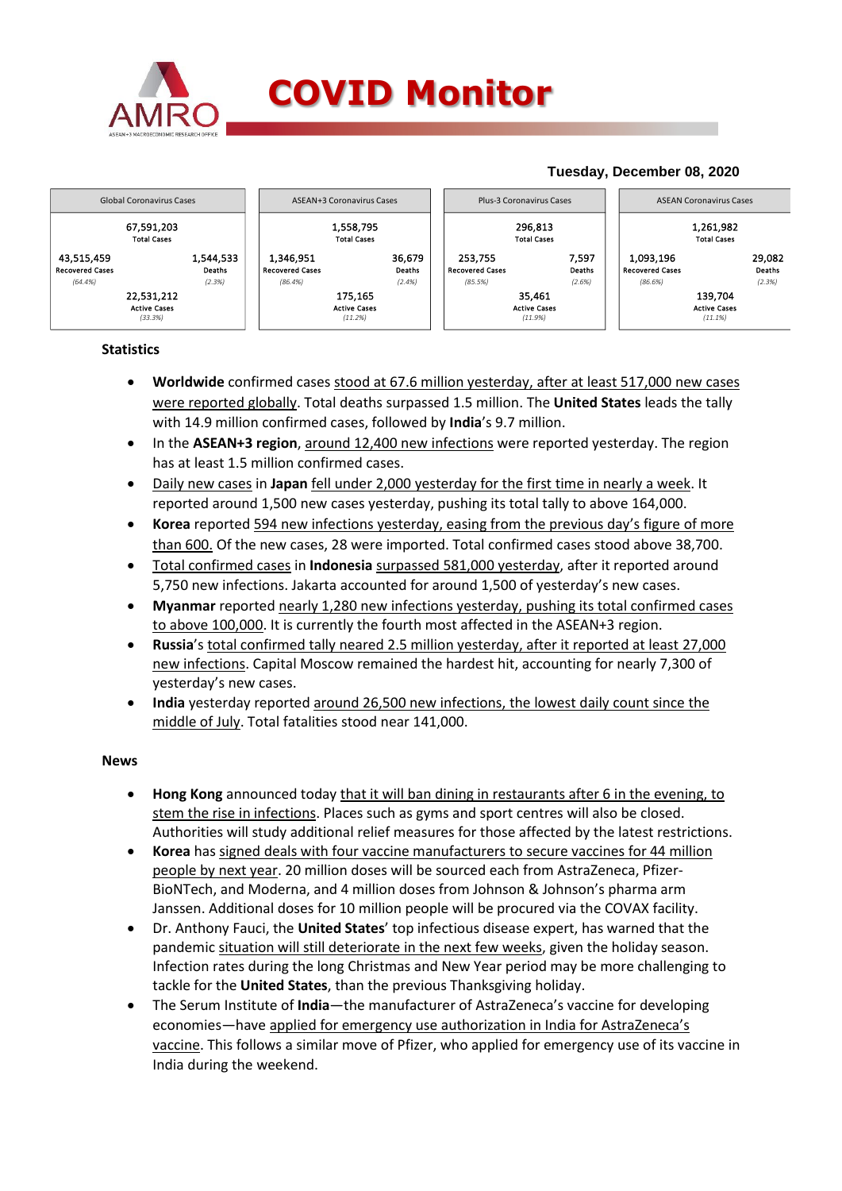

## **COVID Monitor**

#### **Tuesday, December 08, 2020** 67,591,203 1,558,795 296,813 1,261,982 Total Cases Total Cases Total Cases Total Cases 43,515,459 1,544,533 | | 1,346,951 36,679 | | 253,755 7,597 | | 1,093,196 29,082 Recovered Cases Deaths Recovered Cases Deaths Recovered Cases Deaths Recovered Cases Deaths *(64.4%) (2.3%) (86.4%) (2.4%) (85.5%) (2.6%) (86.6%) (2.3%)* 22,531,212 175,165 35,461 139,704 Active Cases Active Cases Active Cases Active Cases *(33.3%) (11.2%) (11.9%) (11.1%)* Global Coronavirus Cases ASEAN+3 Coronavirus Cases Plus-3 Coronavirus Cases ASEAN Coronavirus Cases

### **Statistics**

- **Worldwide** confirmed cases stood at 67.6 million yesterday, after at least 517,000 new cases were reported globally. Total deaths surpassed 1.5 million. The **United States** leads the tally with 14.9 million confirmed cases, followed by **India**'s 9.7 million.
- In the **ASEAN+3 region**, around 12,400 new infections were reported yesterday. The region has at least 1.5 million confirmed cases.
- Daily new cases in **Japan** fell under 2,000 yesterday for the first time in nearly a week. It reported around 1,500 new cases yesterday, pushing its total tally to above 164,000.
- **Korea** reported 594 new infections yesterday, easing from the previous day's figure of more than 600. Of the new cases, 28 were imported. Total confirmed cases stood above 38,700.
- Total confirmed cases in **Indonesia** surpassed 581,000 yesterday, after it reported around 5,750 new infections. Jakarta accounted for around 1,500 of yesterday's new cases.
- **Myanmar** reported nearly 1,280 new infections yesterday, pushing its total confirmed cases to above 100,000. It is currently the fourth most affected in the ASEAN+3 region.
- **Russia**'s total confirmed tally neared 2.5 million yesterday, after it reported at least 27,000 new infections. Capital Moscow remained the hardest hit, accounting for nearly 7,300 of yesterday's new cases.
- **India** yesterday reported around 26,500 new infections, the lowest daily count since the middle of July. Total fatalities stood near 141,000.

#### **News**

- **Hong Kong** announced today that it will ban dining in restaurants after 6 in the evening, to stem the rise in infections. Places such as gyms and sport centres will also be closed. Authorities will study additional relief measures for those affected by the latest restrictions.
- **Korea** has signed deals with four vaccine manufacturers to secure vaccines for 44 million people by next year. 20 million doses will be sourced each from AstraZeneca, Pfizer-BioNTech, and Moderna, and 4 million doses from Johnson & Johnson's pharma arm Janssen. Additional doses for 10 million people will be procured via the COVAX facility.
- Dr. Anthony Fauci, the **United States**' top infectious disease expert, has warned that the pandemic situation will still deteriorate in the next few weeks, given the holiday season. Infection rates during the long Christmas and New Year period may be more challenging to tackle for the **United States**, than the previous Thanksgiving holiday.
- The Serum Institute of **India**—the manufacturer of AstraZeneca's vaccine for developing economies—have applied for emergency use authorization in India for AstraZeneca's vaccine. This follows a similar move of Pfizer, who applied for emergency use of its vaccine in India during the weekend.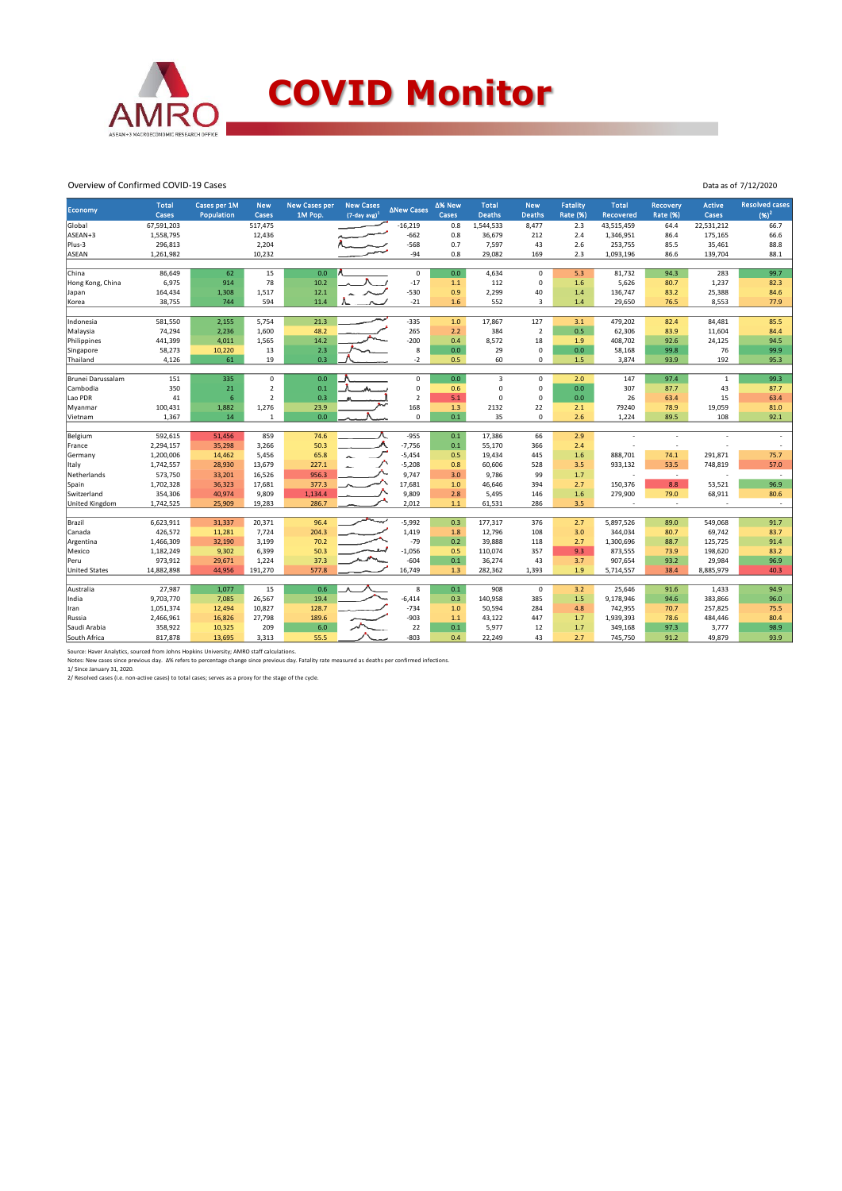

#### Overview of Confirmed COVID-19 Cases

| Economy              | <b>Total</b> | Cases per 1M    | <b>New</b>     | <b>New Cases per</b> | <b>New Cases</b>    | <b>ANew Cases</b> | ∆% New | <b>Total</b>  | <b>New</b>     | <b>Fatality</b> | <b>Total</b> | Recovery        | <b>Active</b> | <b>Resolved cases</b> |
|----------------------|--------------|-----------------|----------------|----------------------|---------------------|-------------------|--------|---------------|----------------|-----------------|--------------|-----------------|---------------|-----------------------|
|                      | <b>Cases</b> | Population      | Cases          | 1M Pop.              | $(7$ -day avg $)^1$ |                   | Cases  | <b>Deaths</b> | <b>Deaths</b>  | Rate (%)        | Recovered    | <b>Rate (%)</b> | Cases         | $(96)^2$              |
| Global               | 67,591,203   |                 | 517,475        |                      |                     | $-16,219$         | 0.8    | 1,544,533     | 8,477          | 2.3             | 43,515,459   | 64.4            | 22,531,212    | 66.7                  |
| ASEAN+3              | 1,558,795    |                 | 12,436         |                      |                     | $-662$            | 0.8    | 36,679        | 212            | 2.4             | 1,346,951    | 86.4            | 175,165       | 66.6                  |
| Plus-3               | 296,813      |                 | 2,204          |                      |                     | $-568$            | 0.7    | 7,597         | 43             | 2.6             | 253,755      | 85.5            | 35,461        | 88.8                  |
| ASEAN                | 1,261,982    |                 | 10,232         |                      |                     | $-94$             | 0.8    | 29,082        | 169            | 2.3             | 1,093,196    | 86.6            | 139,704       | 88.1                  |
|                      |              |                 |                |                      |                     |                   |        |               |                |                 |              |                 |               |                       |
| China                | 86,649       | 62              | 15             | 0.0                  |                     | 0                 | 0.0    | 4,634         | $\mathbf 0$    | 5.3             | 81,732       | 94.3            | 283           | 99.7                  |
| Hong Kong, China     | 6,975        | 914             | 78             | 10.2                 |                     | $-17$             | $1.1$  | 112           | $\mathbf 0$    | 1.6             | 5,626        | 80.7            | 1,237         | 82.3                  |
| Japan                | 164,434      | 1,308           | 1,517          | 12.1                 |                     | $-530$            | 0.9    | 2,299         | 40             | 1.4             | 136,747      | 83.2            | 25,388        | 84.6                  |
| Korea                | 38,755       | 744             | 594            | 11.4                 |                     | $-21$             | 1.6    | 552           | 3              | 1.4             | 29,650       | 76.5            | 8,553         | 77.9                  |
| Indonesia            | 581,550      | 2,155           | 5,754          | 21.3                 |                     | $-335$            | 1.0    | 17,867        | 127            | 3.1             | 479,202      | 82.4            | 84,481        | 85.5                  |
| Malaysia             | 74,294       | 2,236           | 1,600          | 48.2                 |                     | 265               | 2.2    | 384           | $\overline{2}$ | 0.5             | 62,306       | 83.9            | 11,604        | 84.4                  |
| Philippines          | 441,399      | 4,011           | 1,565          | 14.2                 |                     | $-200$            | 0.4    | 8,572         | 18             | 1.9             | 408,702      | 92.6            | 24,125        | 94.5                  |
| Singapore            | 58,273       | 10,220          | 13             | 2.3                  |                     | 8                 | 0.0    | 29            | $\mathbf 0$    | 0.0             | 58,168       | 99.8            | 76            | 99.9                  |
| Thailand             | 4,126        | 61              | 19             | 0.3                  |                     | $-2$              | 0.5    | 60            | 0              | 1.5             | 3,874        | 93.9            | 192           | 95.3                  |
|                      |              |                 |                |                      |                     |                   |        |               |                |                 |              |                 |               |                       |
| Brunei Darussalam    | 151          | 335             | $\mathbf 0$    | 0.0                  |                     | 0                 | 0.0    | 3             | $\mathbf 0$    | 2.0             | 147          | 97.4            | $\mathbf{1}$  | 99.3                  |
| Cambodia             | 350          | 21              | $\overline{2}$ | 0.1                  |                     | 0                 | 0.6    | $\mathbf 0$   | $\mathbf 0$    | 0.0             | 307          | 87.7            | 43            | 87.7                  |
| Lao PDR              | 41           | $6\phantom{1}6$ | $\overline{2}$ | 0.3                  |                     | $\overline{2}$    | 5.1    | $\mathbf 0$   | $\mathbf 0$    | 0.0             | 26           | 63.4            | 15            | 63.4                  |
| Myanmar              | 100,431      | 1,882           | 1,276          | 23.9                 |                     | 168               | 1.3    | 2132          | 22             | 2.1             | 79240        | 78.9            | 19,059        | 81.0                  |
| Vietnam              | 1,367        | 14              | $\mathbf{1}$   | 0.0                  |                     | 0                 | 0.1    | 35            | $\mathbf 0$    | 2.6             | 1,224        | 89.5            | 108           | 92.1                  |
|                      |              |                 |                |                      |                     |                   |        |               |                |                 |              |                 |               |                       |
| Belgium              | 592,615      | 51,456          | 859            | 74.6                 |                     | $-955$            | 0.1    | 17,386        | 66             | 2.9             |              |                 |               |                       |
| France               | 2,294,157    | 35,298          | 3,266          | 50.3                 |                     | $-7,756$          | 0.1    | 55,170        | 366            | 2.4             |              |                 |               |                       |
| Germany              | 1,200,006    | 14,462          | 5,456          | 65.8                 |                     | $-5,454$          | 0.5    | 19,434        | 445            | 1.6             | 888,701      | 74.1            | 291,871       | 75.7                  |
| Italy                | 1,742,557    | 28,930          | 13,679         | 227.1                |                     | $-5,208$          | 0.8    | 60,606        | 528            | 3.5             | 933,132      | 53.5            | 748,819       | 57.0                  |
| Netherlands          | 573,750      | 33,201          | 16,526         | 956.3                |                     | 9,747             | 3.0    | 9,786         | 99             | 1.7             |              | $\sim$          |               | $\sim$                |
| Spain                | 1,702,328    | 36,323          | 17,681         | 377.3                |                     | 17,681            | 1.0    | 46,646        | 394            | 2.7             | 150,376      | 8.8             | 53,521        | 96.9                  |
| Switzerland          | 354,306      | 40,974          | 9,809          | 1,134.4              |                     | 9,809             | 2.8    | 5,495         | 146            | 1.6             | 279,900      | 79.0            | 68,911        | 80.6                  |
| United Kingdom       | 1,742,525    | 25,909          | 19,283         | 286.7                |                     | 2,012             | 1.1    | 61,531        | 286            | 3.5             |              | ÷.              |               | $\sim$                |
|                      |              |                 |                |                      |                     |                   |        |               |                |                 |              |                 |               |                       |
| Brazil               | 6,623,911    | 31,337          | 20,371         | 96.4                 | مهيسة               | $-5,992$          | 0.3    | 177,317       | 376            | 2.7             | 5,897,526    | 89.0            | 549,068       | 91.7                  |
| Canada               | 426,572      | 11,281          | 7,724          | 204.3                |                     | 1,419             | 1.8    | 12,796        | 108            | 3.0             | 344,034      | 80.7            | 69,742        | 83.7                  |
| Argentina            | 1,466,309    | 32,190          | 3,199          | 70.2                 |                     | $-79$             | 0.2    | 39,888        | 118            | 2.7             | 1,300,696    | 88.7            | 125,725       | 91.4                  |
| Mexico               | 1,182,249    | 9,302           | 6,399          | 50.3                 |                     | $-1,056$          | 0.5    | 110,074       | 357            | 9.3             | 873,555      | 73.9            | 198,620       | 83.2                  |
| Peru                 | 973,912      | 29,671          | 1,224          | 37.3                 |                     | $-604$<br>16,749  | 0.1    | 36,274        | 43             | 3.7             | 907,654      | 93.2            | 29,984        | 96.9                  |
| <b>United States</b> | 14,882,898   | 44,956          | 191,270        | 577.8                |                     |                   | 1.3    | 282,362       | 1,393          | 1.9             | 5,714,557    | 38.4            | 8,885,979     | 40.3                  |
| Australia            | 27,987       | 1,077           | 15             | 0.6                  |                     | 8                 | 0.1    | 908           | $\mathbf 0$    | 3.2             | 25,646       | 91.6            | 1,433         | 94.9                  |
| India                | 9,703,770    | 7,085           | 26,567         | 19.4                 |                     | $-6,414$          | 0.3    | 140,958       | 385            | 1.5             | 9,178,946    | 94.6            | 383,866       | 96.0                  |
| Iran                 | 1,051,374    | 12,494          | 10,827         | 128.7                |                     | $-734$            | 1.0    | 50,594        | 284            | 4.8             | 742,955      | 70.7            | 257,825       | 75.5                  |
| Russia               | 2,466,961    | 16,826          | 27,798         | 189.6                |                     | -903              | $1.1$  | 43,122        | 447            | 1.7             | 1,939,393    | 78.6            | 484,446       | 80.4                  |
| Saudi Arabia         | 358,922      | 10,325          | 209            | 6.0                  |                     | 22                | 0.1    | 5,977         | 12             | 1.7             | 349,168      | 97.3            | 3,777         | 98.9                  |
| South Africa         | 817,878      | 13,695          | 3,313          | 55.5                 |                     | $-803$            | 0.4    | 22.249        | 43             | 2.7             | 745,750      | 91.2            | 49.879        | 93.9                  |
|                      |              |                 |                |                      |                     |                   |        |               |                |                 |              |                 |               |                       |

Data as of 7/12/2020

Source: Haver Analytics, sourced from Johns Hopkins University; AMRO staff calculations.<br>Notes: New cases since previous day. ∆% refers to percentage change since previous day. Fatality rate measured as deaths per confirm